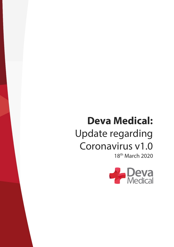# **Deva Medical:** Update regarding Coronavirus v1.0 18th March 2020

**Deva Medical Electronics Limited** Registered in England Co. No. 1579291 **Registered Office:** 1 Chandlers Court, Picow Farm Road, Runcorn, Cheshire, WA7 4UH

**Telephone:** 01928 565 836 / 01928 567 571 <sup>9385</sup>

**Directors:** R H Betteley (Managing) J P Betteley (Director)

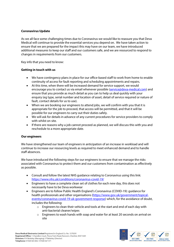# **Coronavirus Update**

As we all face some challenging times due to Coronavirus we would like to reassure you that Deva Medical will continue to provide the essential services you depend on. We have taken action to ensure that we are prepared for the impact this may have on our team, we have introduced additional measures to keep our staff and our customers safe, and we are resourced to respond to changes in requirements from our customers.

Key info that you need to know:

#### **Getting in touch with us**

- We have contingency plans in place for our office-based staff to work from home to enable continuity of access for fault reporting and scheduling appointments and repairs.
- At this time, when there will be increased demand for service support, we would encourage you to contact us via email whenever possible (service@deva-medical.com) and ensure that you provide as much detail as you can to help us deal quickly with your enquiry (eg type, serial number and location of asset, detail of service required or nature of fault, contact details for us to use).
- When we are booking our engineers to attend jobs, we will confirm with you that it is appropriate for the job to proceed, that access will be permitted, and that it will be possible for our engineers to carry out their duties safely.
- We will ask for details in advance of any current procedures for service providers to comply with whilst on site.
- If there are reasons why a job cannot proceed as planned, we will discuss this with you and reschedule to a more appropriate date.

# **Our engineers**

We have strengthened our team of engineers in anticipation of an increase in workload and will continue to increase our resourcing levels as required to meet enhanced demand and to handle staff absences.

We have introduced the following steps for our engineers to ensure that we manage the risks associated with Coronavirus to protect them and our customers from contamination as effectively as possible.

- Consult and follow the latest NHS guidance relating to Coronavirus using this link: https://www.nhs.uk/conditions/coronavirus-covid-19/
- Engineers to have a complete clean set of clothes for each new day, this does not necessarily have to be Deva workwear
- Engineers are to follow Public Health England's Coronavirus (COVID-19): guidance for health professionals and other organisations (https://www.gov.uk/government/topicalevents/coronavirus-covid-19-uk-government-response) which, for the avoidance of doubt, includes the following:
	- o Engineers to clean their vehicle and tools at the start and end of each day with anti-bacterial cleaner/wipes
	- o Engineers to wash hands with soap and water for at least 20 seconds on arrival on site